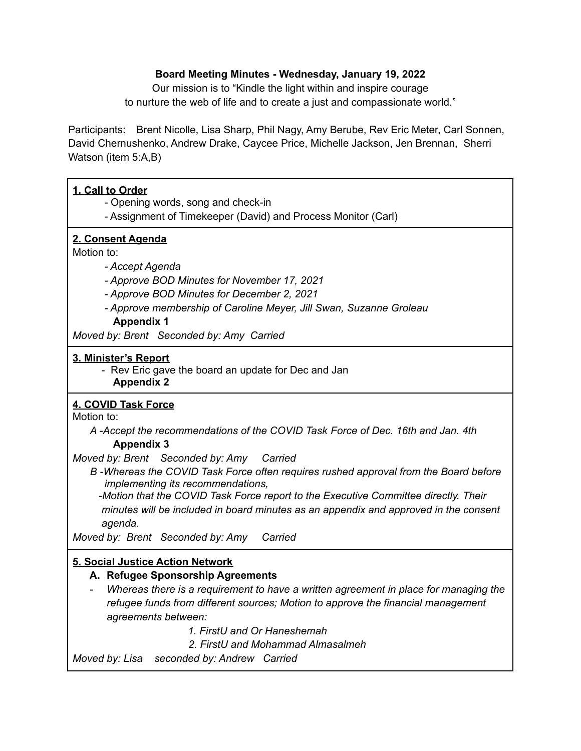### **Board Meeting Minutes - Wednesday, January 19, 2022**

Our mission is to "Kindle the light within and inspire courage to nurture the web of life and to create a just and compassionate world."

Participants: Brent Nicolle, Lisa Sharp, Phil Nagy, Amy Berube, Rev Eric Meter, Carl Sonnen, David Chernushenko, Andrew Drake, Caycee Price, Michelle Jackson, Jen Brennan, Sherri Watson (item 5:A,B)

# **1. Call to Order**

- Opening words, song and check-in

- Assignment of Timekeeper (David) and Process Monitor (Carl)

### **2. Consent Agenda**

Motion to:

### *- Accept Agenda*

- *- Approve BOD Minutes for November 17, 2021*
- *- Approve BOD Minutes for December 2, 2021*
- *- Approve membership of Caroline Meyer, Jill Swan, Suzanne Groleau* **Appendix 1**

*Moved by: Brent Seconded by: Amy Carried*

### **3. Minister's Report**

- Rev Eric gave the board an update for Dec and Jan **Appendix 2**

# **4. COVID Task Force**

Motion to:

*A -Accept the recommendations of the COVID Task Force of Dec. 16th and Jan. 4th* **Appendix 3**

*Moved by: Brent Seconded by: Amy Carried*

*B -Whereas the COVID Task Force often requires rushed approval from the Board before implementing its recommendations,*

*-Motion that the COVID Task Force report to the Executive Committee directly. Their minutes will be included in board minutes as an appendix and approved in the consent agenda.*

*Moved by: Brent Seconded by: Amy Carried*

# **5. Social Justice Action Network**

# **A. Refugee Sponsorship Agreements**

- *- Whereas there is a requirement to have a written agreement in place for managing the refugee funds from different sources; Motion to approve the financial management agreements between:*
	- *1. FirstU and Or Haneshemah*
	- *2. FirstU and Mohammad Almasalmeh*

*Moved by: Lisa seconded by: Andrew Carried*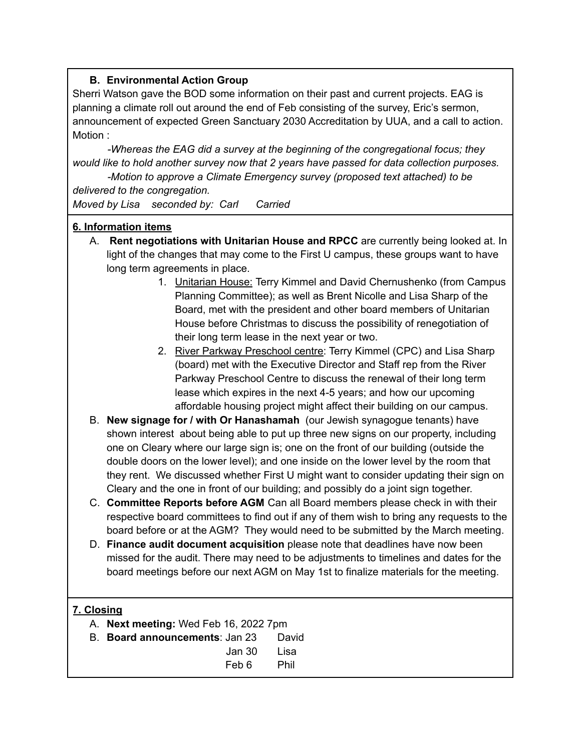# **B. Environmental Action Group**

Sherri Watson gave the BOD some information on their past and current projects. EAG is planning a climate roll out around the end of Feb consisting of the survey, Eric's sermon, announcement of expected Green Sanctuary 2030 Accreditation by UUA, and a call to action. Motion :

*-Whereas the EAG did a survey at the beginning of the congregational focus; they would like to hold another survey now that 2 years have passed for data collection purposes.*

*-Motion to approve a Climate Emergency survey (proposed text attached) to be delivered to the congregation.*

*Moved by Lisa seconded by: Carl Carried*

# **6. Information items**

- A. **Rent negotiations with Unitarian House and RPCC** are currently being looked at. In light of the changes that may come to the First U campus, these groups want to have long term agreements in place.
	- 1. Unitarian House: Terry Kimmel and David Chernushenko (from Campus Planning Committee); as well as Brent Nicolle and Lisa Sharp of the Board, met with the president and other board members of Unitarian House before Christmas to discuss the possibility of renegotiation of their long term lease in the next year or two.
	- 2. River Parkway Preschool centre: Terry Kimmel (CPC) and Lisa Sharp (board) met with the Executive Director and Staff rep from the River Parkway Preschool Centre to discuss the renewal of their long term lease which expires in the next 4-5 years; and how our upcoming affordable housing project might affect their building on our campus.
- B. **New signage for / with Or Hanashamah** (our Jewish synagogue tenants) have shown interest about being able to put up three new signs on our property, including one on Cleary where our large sign is; one on the front of our building (outside the double doors on the lower level); and one inside on the lower level by the room that they rent. We discussed whether First U might want to consider updating their sign on Cleary and the one in front of our building; and possibly do a joint sign together.
- C. **Committee Reports before AGM** Can all Board members please check in with their respective board committees to find out if any of them wish to bring any requests to the board before or at the AGM? They would need to be submitted by the March meeting.
- D. **Finance audit document acquisition** please note that deadlines have now been missed for the audit. There may need to be adjustments to timelines and dates for the board meetings before our next AGM on May 1st to finalize materials for the meeting.

# **7. Closing**

- A. **Next meeting:** Wed Feb 16, 2022 7pm
- B. **Board announcements**: Jan 23 David Jan 30 Lisa
	- Feb 6 Phil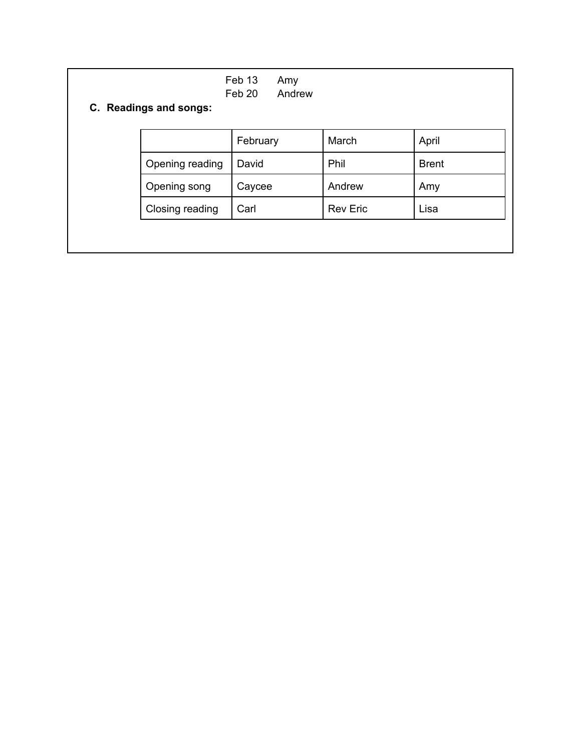| Feb 13<br>Amy<br>Feb 20<br>Andrew<br>C. Readings and songs: |                 |          |                 |              |
|-------------------------------------------------------------|-----------------|----------|-----------------|--------------|
|                                                             |                 | February | March           | April        |
|                                                             | Opening reading | David    | Phil            | <b>Brent</b> |
|                                                             | Opening song    | Caycee   | Andrew          | Amy          |
|                                                             | Closing reading | Carl     | <b>Rev Eric</b> | Lisa         |
|                                                             |                 |          |                 |              |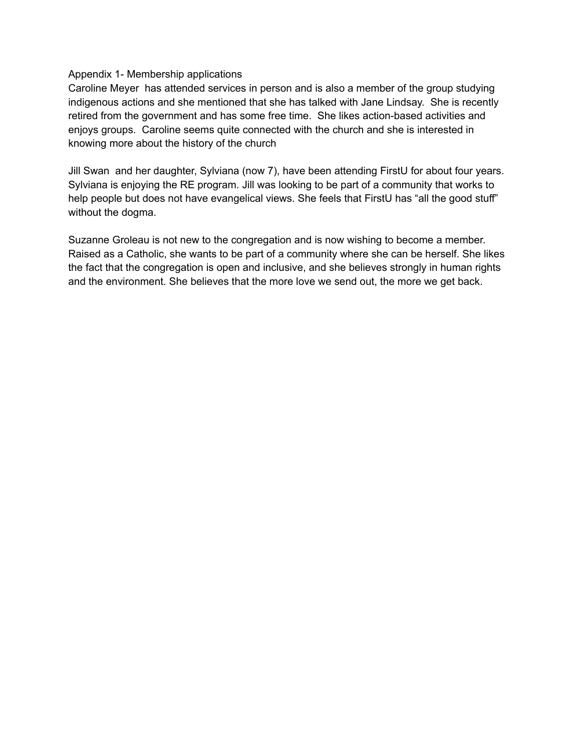### Appendix 1- Membership applications

Caroline Meyer has attended services in person and is also a member of the group studying indigenous actions and she mentioned that she has talked with Jane Lindsay. She is recently retired from the government and has some free time. She likes action-based activities and enjoys groups. Caroline seems quite connected with the church and she is interested in knowing more about the history of the church

Jill Swan and her daughter, Sylviana (now 7), have been attending FirstU for about four years. Sylviana is enjoying the RE program. Jill was looking to be part of a community that works to help people but does not have evangelical views. She feels that FirstU has "all the good stuff" without the dogma.

Suzanne Groleau is not new to the congregation and is now wishing to become a member. Raised as a Catholic, she wants to be part of a community where she can be herself. She likes the fact that the congregation is open and inclusive, and she believes strongly in human rights and the environment. She believes that the more love we send out, the more we get back.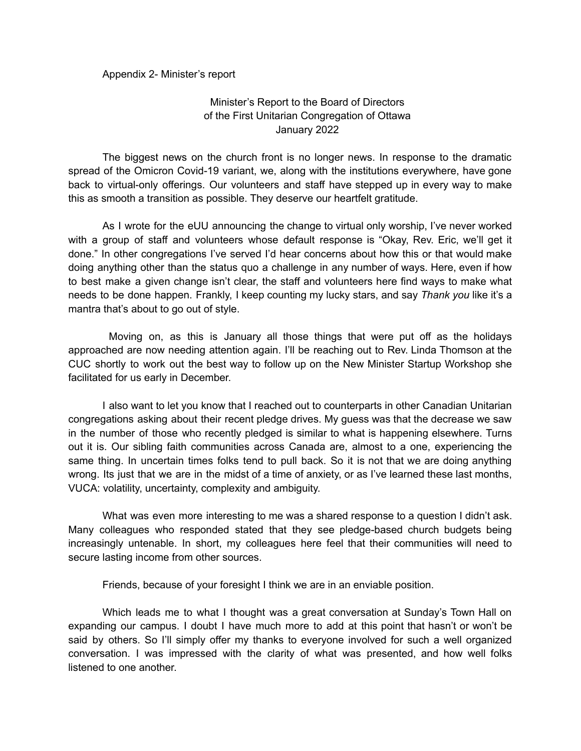#### Appendix 2- Minister's report

### Minister's Report to the Board of Directors of the First Unitarian Congregation of Ottawa January 2022

The biggest news on the church front is no longer news. In response to the dramatic spread of the Omicron Covid-19 variant, we, along with the institutions everywhere, have gone back to virtual-only offerings. Our volunteers and staff have stepped up in every way to make this as smooth a transition as possible. They deserve our heartfelt gratitude.

As I wrote for the eUU announcing the change to virtual only worship, I've never worked with a group of staff and volunteers whose default response is "Okay, Rev. Eric, we'll get it done." In other congregations I've served I'd hear concerns about how this or that would make doing anything other than the status quo a challenge in any number of ways. Here, even if how to best make a given change isn't clear, the staff and volunteers here find ways to make what needs to be done happen. Frankly, I keep counting my lucky stars, and say *Thank you* like it's a mantra that's about to go out of style.

Moving on, as this is January all those things that were put off as the holidays approached are now needing attention again. I'll be reaching out to Rev. Linda Thomson at the CUC shortly to work out the best way to follow up on the New Minister Startup Workshop she facilitated for us early in December.

I also want to let you know that I reached out to counterparts in other Canadian Unitarian congregations asking about their recent pledge drives. My guess was that the decrease we saw in the number of those who recently pledged is similar to what is happening elsewhere. Turns out it is. Our sibling faith communities across Canada are, almost to a one, experiencing the same thing. In uncertain times folks tend to pull back. So it is not that we are doing anything wrong. Its just that we are in the midst of a time of anxiety, or as I've learned these last months, VUCA: volatility, uncertainty, complexity and ambiguity.

What was even more interesting to me was a shared response to a question I didn't ask. Many colleagues who responded stated that they see pledge-based church budgets being increasingly untenable. In short, my colleagues here feel that their communities will need to secure lasting income from other sources.

Friends, because of your foresight I think we are in an enviable position.

Which leads me to what I thought was a great conversation at Sunday's Town Hall on expanding our campus. I doubt I have much more to add at this point that hasn't or won't be said by others. So I'll simply offer my thanks to everyone involved for such a well organized conversation. I was impressed with the clarity of what was presented, and how well folks listened to one another.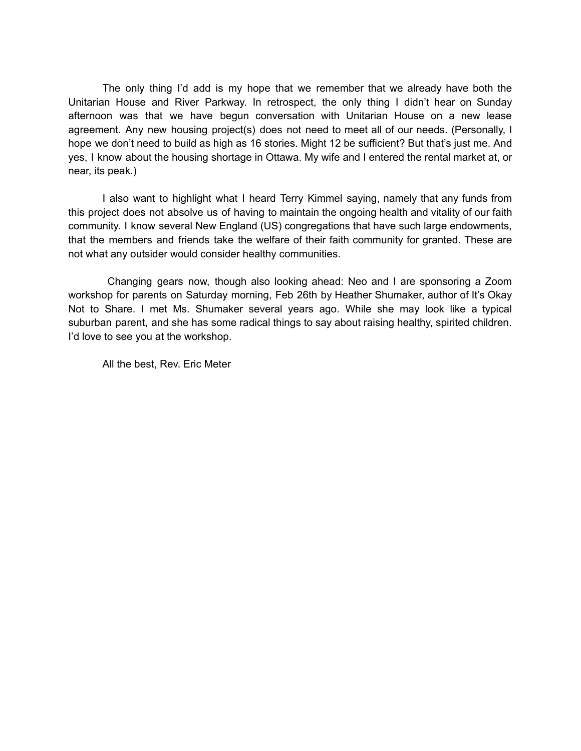The only thing I'd add is my hope that we remember that we already have both the Unitarian House and River Parkway. In retrospect, the only thing I didn't hear on Sunday afternoon was that we have begun conversation with Unitarian House on a new lease agreement. Any new housing project(s) does not need to meet all of our needs. (Personally, I hope we don't need to build as high as 16 stories. Might 12 be sufficient? But that's just me. And yes, I know about the housing shortage in Ottawa. My wife and I entered the rental market at, or near, its peak.)

I also want to highlight what I heard Terry Kimmel saying, namely that any funds from this project does not absolve us of having to maintain the ongoing health and vitality of our faith community. I know several New England (US) congregations that have such large endowments, that the members and friends take the welfare of their faith community for granted. These are not what any outsider would consider healthy communities.

Changing gears now, though also looking ahead: Neo and I are sponsoring a Zoom workshop for parents on Saturday morning, Feb 26th by Heather Shumaker, author of It's Okay Not to Share. I met Ms. Shumaker several years ago. While she may look like a typical suburban parent, and she has some radical things to say about raising healthy, spirited children. I'd love to see you at the workshop.

All the best, Rev. Eric Meter